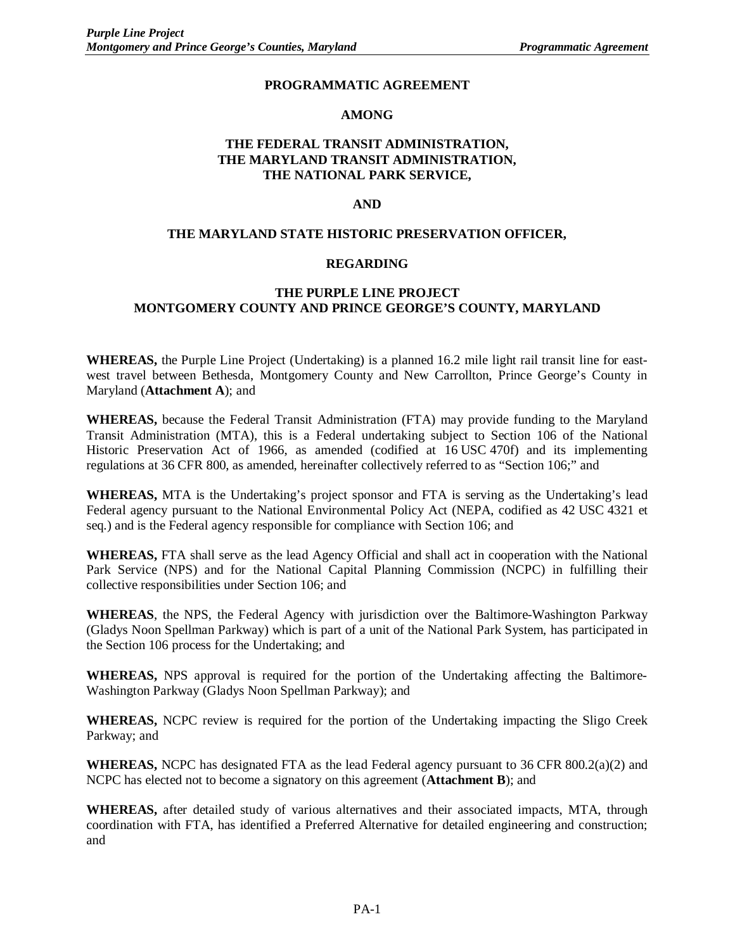#### **PROGRAMMATIC AGREEMENT**

#### **AMONG**

## **THE FEDERAL TRANSIT ADMINISTRATION, THE MARYLAND TRANSIT ADMINISTRATION, THE NATIONAL PARK SERVICE,**

#### **AND**

#### **THE MARYLAND STATE HISTORIC PRESERVATION OFFICER,**

#### **REGARDING**

## **THE PURPLE LINE PROJECT MONTGOMERY COUNTY AND PRINCE GEORGE'S COUNTY, MARYLAND**

**WHEREAS,** the Purple Line Project (Undertaking) is a planned 16.2 mile light rail transit line for eastwest travel between Bethesda, Montgomery County and New Carrollton, Prince George's County in Maryland (**Attachment A**); and

**WHEREAS,** because the Federal Transit Administration (FTA) may provide funding to the Maryland Transit Administration (MTA), this is a Federal undertaking subject to Section 106 of the National Historic Preservation Act of 1966, as amended (codified at 16 USC 470f) and its implementing regulations at 36 CFR 800, as amended, hereinafter collectively referred to as "Section 106;" and

**WHEREAS,** MTA is the Undertaking's project sponsor and FTA is serving as the Undertaking's lead Federal agency pursuant to the National Environmental Policy Act (NEPA, codified as 42 USC 4321 et seq.) and is the Federal agency responsible for compliance with Section 106; and

**WHEREAS,** FTA shall serve as the lead Agency Official and shall act in cooperation with the National Park Service (NPS) and for the National Capital Planning Commission (NCPC) in fulfilling their collective responsibilities under Section 106; and

**WHEREAS**, the NPS, the Federal Agency with jurisdiction over the Baltimore-Washington Parkway (Gladys Noon Spellman Parkway) which is part of a unit of the National Park System, has participated in the Section 106 process for the Undertaking; and

**WHEREAS,** NPS approval is required for the portion of the Undertaking affecting the Baltimore-Washington Parkway (Gladys Noon Spellman Parkway); and

**WHEREAS,** NCPC review is required for the portion of the Undertaking impacting the Sligo Creek Parkway; and

**WHEREAS,** NCPC has designated FTA as the lead Federal agency pursuant to 36 CFR 800.2(a)(2) and NCPC has elected not to become a signatory on this agreement (**Attachment B**); and

**WHEREAS,** after detailed study of various alternatives and their associated impacts, MTA, through coordination with FTA, has identified a Preferred Alternative for detailed engineering and construction; and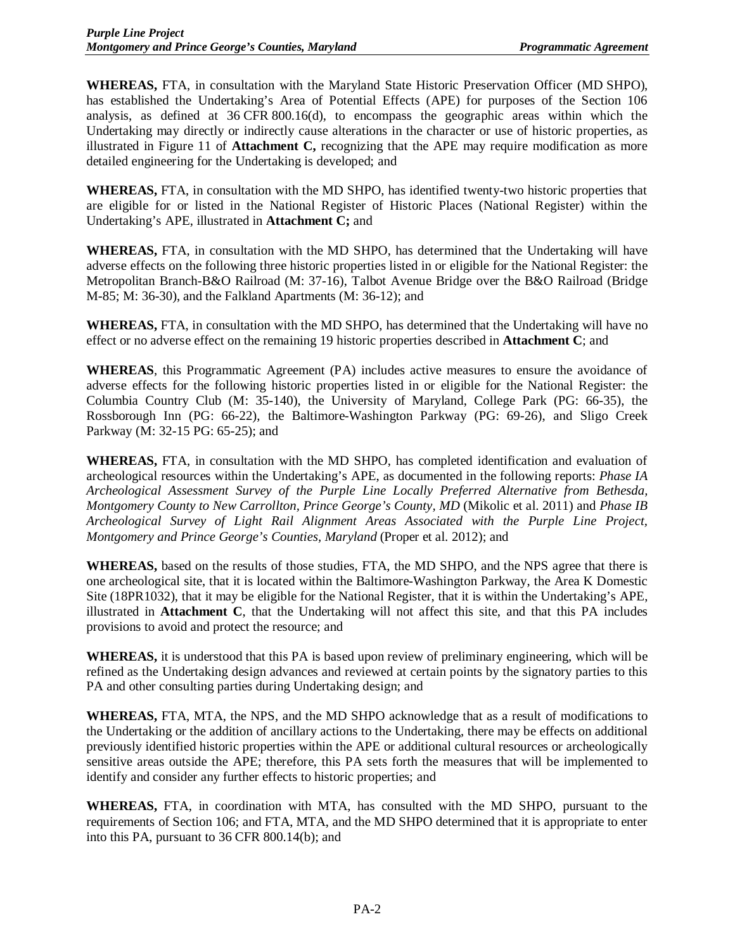**WHEREAS,** FTA, in consultation with the Maryland State Historic Preservation Officer (MD SHPO), has established the Undertaking's Area of Potential Effects (APE) for purposes of the Section 106 analysis, as defined at 36 CFR 800.16(d), to encompass the geographic areas within which the Undertaking may directly or indirectly cause alterations in the character or use of historic properties, as illustrated in Figure 11 of **Attachment C,** recognizing that the APE may require modification as more detailed engineering for the Undertaking is developed; and

**WHEREAS,** FTA, in consultation with the MD SHPO, has identified twenty-two historic properties that are eligible for or listed in the National Register of Historic Places (National Register) within the Undertaking's APE, illustrated in **Attachment C;** and

**WHEREAS,** FTA, in consultation with the MD SHPO, has determined that the Undertaking will have adverse effects on the following three historic properties listed in or eligible for the National Register: the Metropolitan Branch-B&O Railroad (M: 37-16), Talbot Avenue Bridge over the B&O Railroad (Bridge M-85; M: 36-30), and the Falkland Apartments (M: 36-12); and

**WHEREAS,** FTA, in consultation with the MD SHPO, has determined that the Undertaking will have no effect or no adverse effect on the remaining 19 historic properties described in **Attachment C**; and

**WHEREAS**, this Programmatic Agreement (PA) includes active measures to ensure the avoidance of adverse effects for the following historic properties listed in or eligible for the National Register: the Columbia Country Club (M: 35-140), the University of Maryland, College Park (PG: 66-35), the Rossborough Inn (PG: 66-22), the Baltimore-Washington Parkway (PG: 69-26), and Sligo Creek Parkway (M: 32-15 PG: 65-25); and

**WHEREAS,** FTA, in consultation with the MD SHPO, has completed identification and evaluation of archeological resources within the Undertaking's APE, as documented in the following reports: *Phase IA Archeological Assessment Survey of the Purple Line Locally Preferred Alternative from Bethesda, Montgomery County to New Carrollton, Prince George's County, MD* (Mikolic et al. 2011) and *Phase IB Archeological Survey of Light Rail Alignment Areas Associated with the Purple Line Project, Montgomery and Prince George's Counties, Maryland* (Proper et al. 2012); and

**WHEREAS,** based on the results of those studies, FTA, the MD SHPO, and the NPS agree that there is one archeological site, that it is located within the Baltimore-Washington Parkway, the Area K Domestic Site (18PR1032), that it may be eligible for the National Register, that it is within the Undertaking's APE, illustrated in **Attachment C**, that the Undertaking will not affect this site, and that this PA includes provisions to avoid and protect the resource; and

**WHEREAS,** it is understood that this PA is based upon review of preliminary engineering, which will be refined as the Undertaking design advances and reviewed at certain points by the signatory parties to this PA and other consulting parties during Undertaking design; and

**WHEREAS,** FTA, MTA, the NPS, and the MD SHPO acknowledge that as a result of modifications to the Undertaking or the addition of ancillary actions to the Undertaking, there may be effects on additional previously identified historic properties within the APE or additional cultural resources or archeologically sensitive areas outside the APE; therefore, this PA sets forth the measures that will be implemented to identify and consider any further effects to historic properties; and

**WHEREAS,** FTA, in coordination with MTA, has consulted with the MD SHPO, pursuant to the requirements of Section 106; and FTA, MTA, and the MD SHPO determined that it is appropriate to enter into this PA, pursuant to 36 CFR 800.14(b); and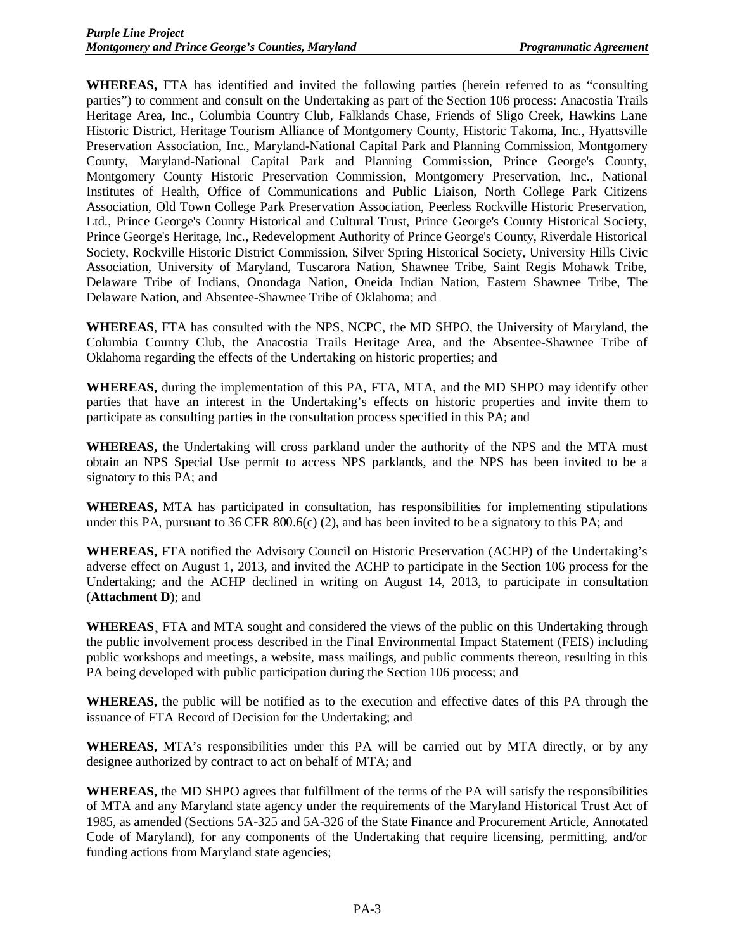**WHEREAS,** FTA has identified and invited the following parties (herein referred to as "consulting parties") to comment and consult on the Undertaking as part of the Section 106 process: Anacostia Trails Heritage Area, Inc., Columbia Country Club, Falklands Chase, Friends of Sligo Creek, Hawkins Lane Historic District, Heritage Tourism Alliance of Montgomery County, Historic Takoma, Inc., Hyattsville Preservation Association, Inc., Maryland-National Capital Park and Planning Commission, Montgomery County, Maryland-National Capital Park and Planning Commission, Prince George's County, Montgomery County Historic Preservation Commission, Montgomery Preservation, Inc., National Institutes of Health, Office of Communications and Public Liaison, North College Park Citizens Association, Old Town College Park Preservation Association, Peerless Rockville Historic Preservation, Ltd., Prince George's County Historical and Cultural Trust, Prince George's County Historical Society, Prince George's Heritage, Inc., Redevelopment Authority of Prince George's County, Riverdale Historical Society, Rockville Historic District Commission, Silver Spring Historical Society, University Hills Civic Association, University of Maryland, Tuscarora Nation, Shawnee Tribe, Saint Regis Mohawk Tribe, Delaware Tribe of Indians, Onondaga Nation, Oneida Indian Nation, Eastern Shawnee Tribe, The Delaware Nation, and Absentee-Shawnee Tribe of Oklahoma; and

**WHEREAS**, FTA has consulted with the NPS, NCPC, the MD SHPO, the University of Maryland, the Columbia Country Club, the Anacostia Trails Heritage Area, and the Absentee-Shawnee Tribe of Oklahoma regarding the effects of the Undertaking on historic properties; and

**WHEREAS,** during the implementation of this PA, FTA, MTA, and the MD SHPO may identify other parties that have an interest in the Undertaking's effects on historic properties and invite them to participate as consulting parties in the consultation process specified in this PA; and

**WHEREAS,** the Undertaking will cross parkland under the authority of the NPS and the MTA must obtain an NPS Special Use permit to access NPS parklands, and the NPS has been invited to be a signatory to this PA; and

**WHEREAS,** MTA has participated in consultation, has responsibilities for implementing stipulations under this PA, pursuant to 36 CFR  $800.6(c)$  (2), and has been invited to be a signatory to this PA; and

**WHEREAS,** FTA notified the Advisory Council on Historic Preservation (ACHP) of the Undertaking's adverse effect on August 1, 2013, and invited the ACHP to participate in the Section 106 process for the Undertaking; and the ACHP declined in writing on August 14, 2013, to participate in consultation (**Attachment D**); and

**WHEREAS¸** FTA and MTA sought and considered the views of the public on this Undertaking through the public involvement process described in the Final Environmental Impact Statement (FEIS) including public workshops and meetings, a website, mass mailings, and public comments thereon, resulting in this PA being developed with public participation during the Section 106 process; and

**WHEREAS,** the public will be notified as to the execution and effective dates of this PA through the issuance of FTA Record of Decision for the Undertaking; and

**WHEREAS,** MTA's responsibilities under this PA will be carried out by MTA directly, or by any designee authorized by contract to act on behalf of MTA; and

**WHEREAS,** the MD SHPO agrees that fulfillment of the terms of the PA will satisfy the responsibilities of MTA and any Maryland state agency under the requirements of the Maryland Historical Trust Act of 1985, as amended (Sections 5A-325 and 5A-326 of the State Finance and Procurement Article, Annotated Code of Maryland), for any components of the Undertaking that require licensing, permitting, and/or funding actions from Maryland state agencies;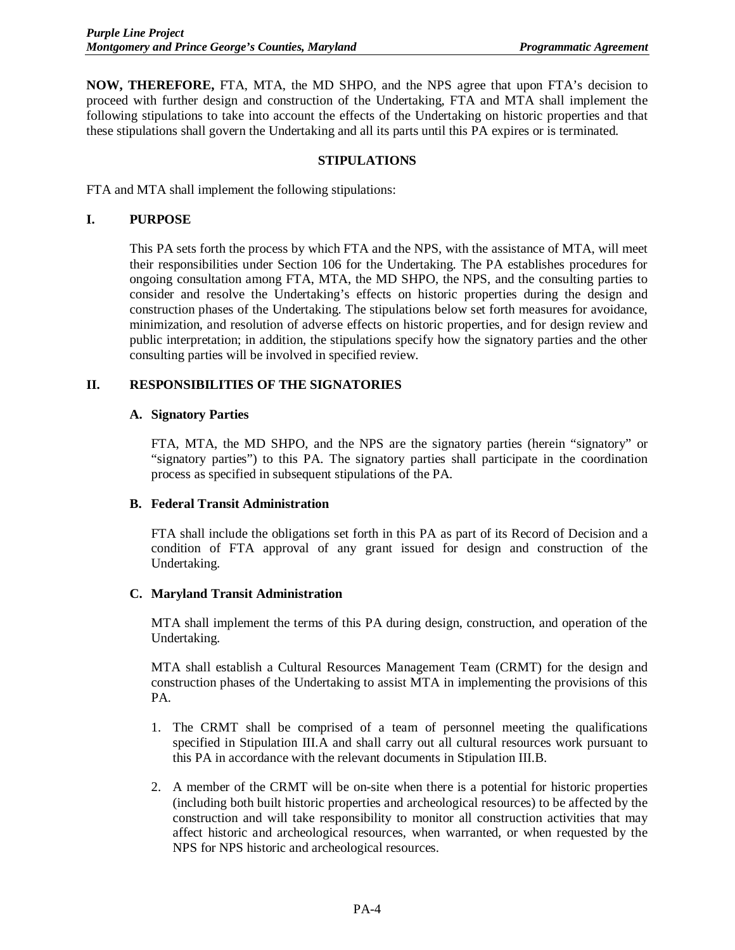**NOW, THEREFORE,** FTA, MTA, the MD SHPO, and the NPS agree that upon FTA's decision to proceed with further design and construction of the Undertaking, FTA and MTA shall implement the following stipulations to take into account the effects of the Undertaking on historic properties and that these stipulations shall govern the Undertaking and all its parts until this PA expires or is terminated.

#### **STIPULATIONS**

FTA and MTA shall implement the following stipulations:

#### **I. PURPOSE**

This PA sets forth the process by which FTA and the NPS, with the assistance of MTA, will meet their responsibilities under Section 106 for the Undertaking. The PA establishes procedures for ongoing consultation among FTA, MTA, the MD SHPO, the NPS, and the consulting parties to consider and resolve the Undertaking's effects on historic properties during the design and construction phases of the Undertaking. The stipulations below set forth measures for avoidance, minimization, and resolution of adverse effects on historic properties, and for design review and public interpretation; in addition, the stipulations specify how the signatory parties and the other consulting parties will be involved in specified review.

### **II. RESPONSIBILITIES OF THE SIGNATORIES**

#### **A. Signatory Parties**

FTA, MTA, the MD SHPO, and the NPS are the signatory parties (herein "signatory" or "signatory parties") to this PA. The signatory parties shall participate in the coordination process as specified in subsequent stipulations of the PA.

### **B. Federal Transit Administration**

FTA shall include the obligations set forth in this PA as part of its Record of Decision and a condition of FTA approval of any grant issued for design and construction of the Undertaking.

### **C. Maryland Transit Administration**

MTA shall implement the terms of this PA during design, construction, and operation of the Undertaking.

MTA shall establish a Cultural Resources Management Team (CRMT) for the design and construction phases of the Undertaking to assist MTA in implementing the provisions of this PA.

- 1. The CRMT shall be comprised of a team of personnel meeting the qualifications specified in Stipulation III.A and shall carry out all cultural resources work pursuant to this PA in accordance with the relevant documents in Stipulation III.B.
- 2. A member of the CRMT will be on-site when there is a potential for historic properties (including both built historic properties and archeological resources) to be affected by the construction and will take responsibility to monitor all construction activities that may affect historic and archeological resources, when warranted, or when requested by the NPS for NPS historic and archeological resources.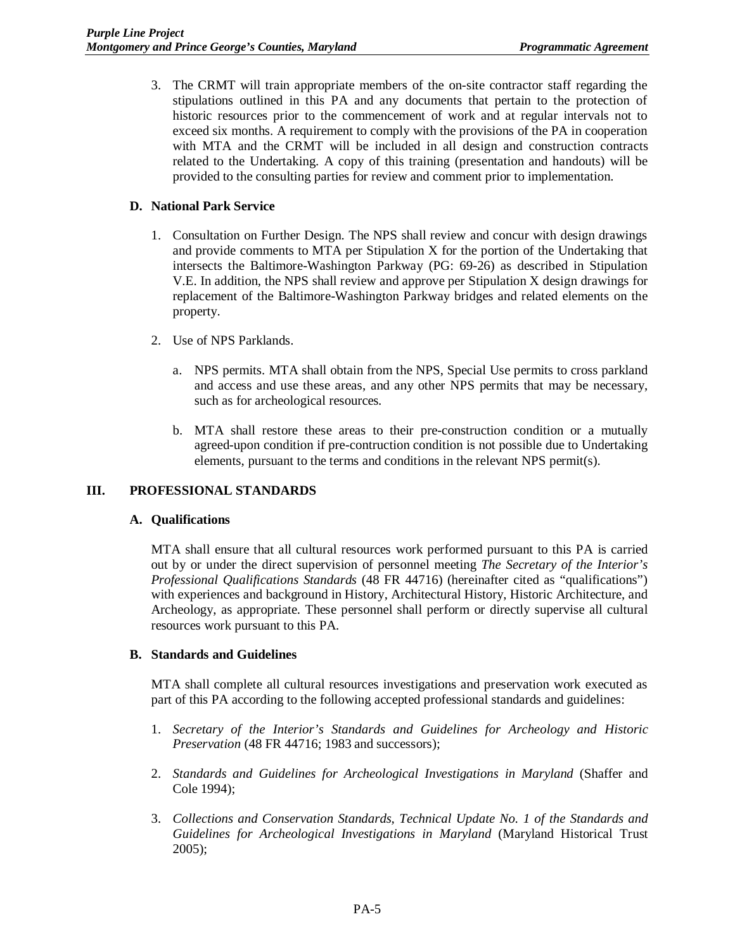3. The CRMT will train appropriate members of the on-site contractor staff regarding the stipulations outlined in this PA and any documents that pertain to the protection of historic resources prior to the commencement of work and at regular intervals not to exceed six months. A requirement to comply with the provisions of the PA in cooperation with MTA and the CRMT will be included in all design and construction contracts related to the Undertaking. A copy of this training (presentation and handouts) will be provided to the consulting parties for review and comment prior to implementation.

## **D. National Park Service**

- 1. Consultation on Further Design. The NPS shall review and concur with design drawings and provide comments to MTA per Stipulation X for the portion of the Undertaking that intersects the Baltimore-Washington Parkway (PG: 69-26) as described in Stipulation V.E. In addition, the NPS shall review and approve per Stipulation X design drawings for replacement of the Baltimore-Washington Parkway bridges and related elements on the property.
- 2. Use of NPS Parklands.
	- a. NPS permits. MTA shall obtain from the NPS, Special Use permits to cross parkland and access and use these areas, and any other NPS permits that may be necessary, such as for archeological resources.
	- b. MTA shall restore these areas to their pre-construction condition or a mutually agreed-upon condition if pre-contruction condition is not possible due to Undertaking elements, pursuant to the terms and conditions in the relevant NPS permit(s).

### **III. PROFESSIONAL STANDARDS**

### **A. Qualifications**

MTA shall ensure that all cultural resources work performed pursuant to this PA is carried out by or under the direct supervision of personnel meeting *The Secretary of the Interior's Professional Qualifications Standards* (48 FR 44716) (hereinafter cited as "qualifications") with experiences and background in History, Architectural History, Historic Architecture, and Archeology, as appropriate. These personnel shall perform or directly supervise all cultural resources work pursuant to this PA.

### **B. Standards and Guidelines**

MTA shall complete all cultural resources investigations and preservation work executed as part of this PA according to the following accepted professional standards and guidelines:

- 1. *Secretary of the Interior's Standards and Guidelines for Archeology and Historic Preservation* (48 FR 44716; 1983 and successors);
- 2. *Standards and Guidelines for Archeological Investigations in Maryland* (Shaffer and Cole 1994);
- 3. *Collections and Conservation Standards, Technical Update No. 1 of the Standards and Guidelines for Archeological Investigations in Maryland* (Maryland Historical Trust 2005);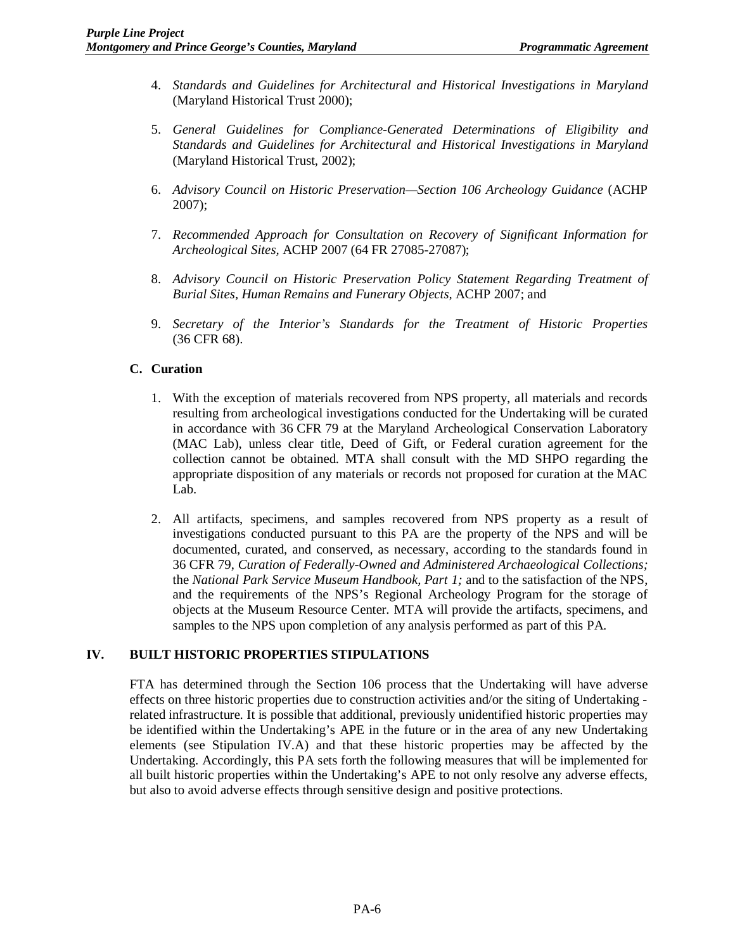- 4. *Standards and Guidelines for Architectural and Historical Investigations in Maryland* (Maryland Historical Trust 2000);
- 5. *General Guidelines for Compliance-Generated Determinations of Eligibility and Standards and Guidelines for Architectural and Historical Investigations in Maryland* (Maryland Historical Trust, 2002);
- 6. *Advisory Council on Historic Preservation—Section 106 Archeology Guidance* (ACHP 2007);
- 7. *Recommended Approach for Consultation on Recovery of Significant Information for Archeological Sites,* ACHP 2007 (64 FR 27085-27087);
- 8. *Advisory Council on Historic Preservation Policy Statement Regarding Treatment of Burial Sites, Human Remains and Funerary Objects,* ACHP 2007; and
- 9. *Secretary of the Interior's Standards for the Treatment of Historic Properties* (36 CFR 68).

## **C. Curation**

- 1. With the exception of materials recovered from NPS property, all materials and records resulting from archeological investigations conducted for the Undertaking will be curated in accordance with 36 CFR 79 at the Maryland Archeological Conservation Laboratory (MAC Lab), unless clear title, Deed of Gift, or Federal curation agreement for the collection cannot be obtained. MTA shall consult with the MD SHPO regarding the appropriate disposition of any materials or records not proposed for curation at the MAC Lab.
- 2. All artifacts, specimens, and samples recovered from NPS property as a result of investigations conducted pursuant to this PA are the property of the NPS and will be documented, curated, and conserved, as necessary, according to the standards found in 36 CFR 79, *Curation of Federally-Owned and Administered Archaeological Collections;* the *National Park Service Museum Handbook, Part 1;* and to the satisfaction of the NPS, and the requirements of the NPS's Regional Archeology Program for the storage of objects at the Museum Resource Center. MTA will provide the artifacts, specimens, and samples to the NPS upon completion of any analysis performed as part of this PA.

### **IV. BUILT HISTORIC PROPERTIES STIPULATIONS**

FTA has determined through the Section 106 process that the Undertaking will have adverse effects on three historic properties due to construction activities and/or the siting of Undertaking related infrastructure. It is possible that additional, previously unidentified historic properties may be identified within the Undertaking's APE in the future or in the area of any new Undertaking elements (see Stipulation IV.A) and that these historic properties may be affected by the Undertaking. Accordingly, this PA sets forth the following measures that will be implemented for all built historic properties within the Undertaking's APE to not only resolve any adverse effects, but also to avoid adverse effects through sensitive design and positive protections.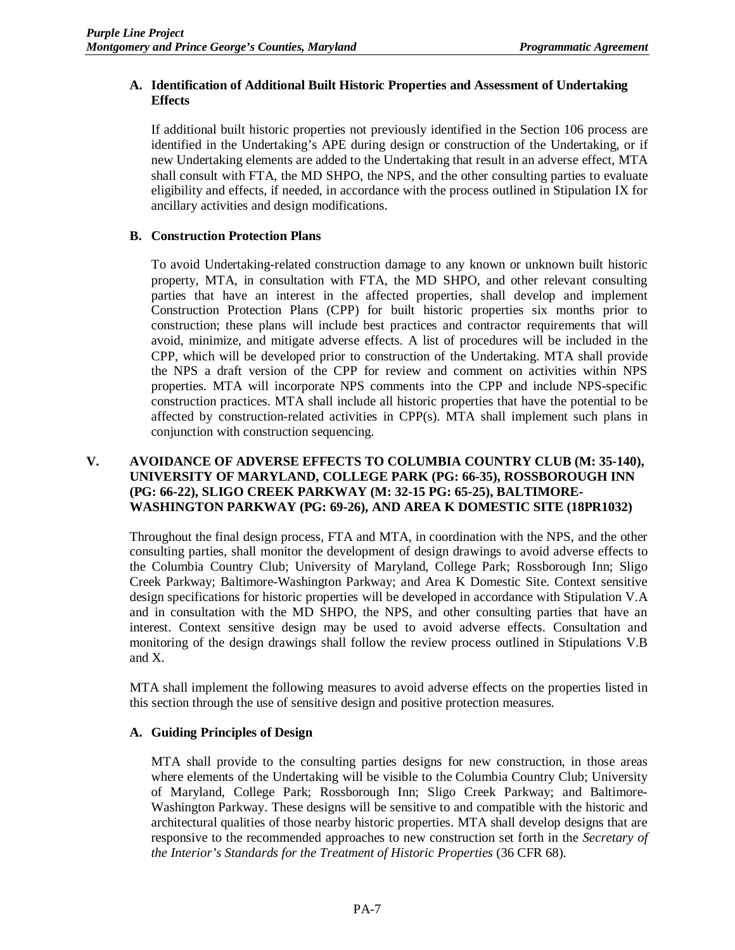# **A. Identification of Additional Built Historic Properties and Assessment of Undertaking Effects**

If additional built historic properties not previously identified in the Section 106 process are identified in the Undertaking's APE during design or construction of the Undertaking, or if new Undertaking elements are added to the Undertaking that result in an adverse effect, MTA shall consult with FTA, the MD SHPO, the NPS, and the other consulting parties to evaluate eligibility and effects, if needed, in accordance with the process outlined in Stipulation IX for ancillary activities and design modifications.

# **B. Construction Protection Plans**

To avoid Undertaking-related construction damage to any known or unknown built historic property, MTA, in consultation with FTA, the MD SHPO, and other relevant consulting parties that have an interest in the affected properties, shall develop and implement Construction Protection Plans (CPP) for built historic properties six months prior to construction; these plans will include best practices and contractor requirements that will avoid, minimize, and mitigate adverse effects. A list of procedures will be included in the CPP, which will be developed prior to construction of the Undertaking. MTA shall provide the NPS a draft version of the CPP for review and comment on activities within NPS properties. MTA will incorporate NPS comments into the CPP and include NPS-specific construction practices. MTA shall include all historic properties that have the potential to be affected by construction-related activities in CPP(s). MTA shall implement such plans in conjunction with construction sequencing.

## **V. AVOIDANCE OF ADVERSE EFFECTS TO COLUMBIA COUNTRY CLUB (M: 35-140), UNIVERSITY OF MARYLAND, COLLEGE PARK (PG: 66-35), ROSSBOROUGH INN (PG: 66-22), SLIGO CREEK PARKWAY (M: 32-15 PG: 65-25), BALTIMORE-WASHINGTON PARKWAY (PG: 69-26), AND AREA K DOMESTIC SITE (18PR1032)**

Throughout the final design process, FTA and MTA, in coordination with the NPS, and the other consulting parties, shall monitor the development of design drawings to avoid adverse effects to the Columbia Country Club; University of Maryland, College Park; Rossborough Inn; Sligo Creek Parkway; Baltimore-Washington Parkway; and Area K Domestic Site. Context sensitive design specifications for historic properties will be developed in accordance with Stipulation V.A and in consultation with the MD SHPO, the NPS, and other consulting parties that have an interest. Context sensitive design may be used to avoid adverse effects. Consultation and monitoring of the design drawings shall follow the review process outlined in Stipulations V.B and X.

MTA shall implement the following measures to avoid adverse effects on the properties listed in this section through the use of sensitive design and positive protection measures.

# **A. Guiding Principles of Design**

MTA shall provide to the consulting parties designs for new construction, in those areas where elements of the Undertaking will be visible to the Columbia Country Club; University of Maryland, College Park; Rossborough Inn; Sligo Creek Parkway; and Baltimore-Washington Parkway. These designs will be sensitive to and compatible with the historic and architectural qualities of those nearby historic properties. MTA shall develop designs that are responsive to the recommended approaches to new construction set forth in the *Secretary of the Interior's Standards for the Treatment of Historic Properties* (36 CFR 68).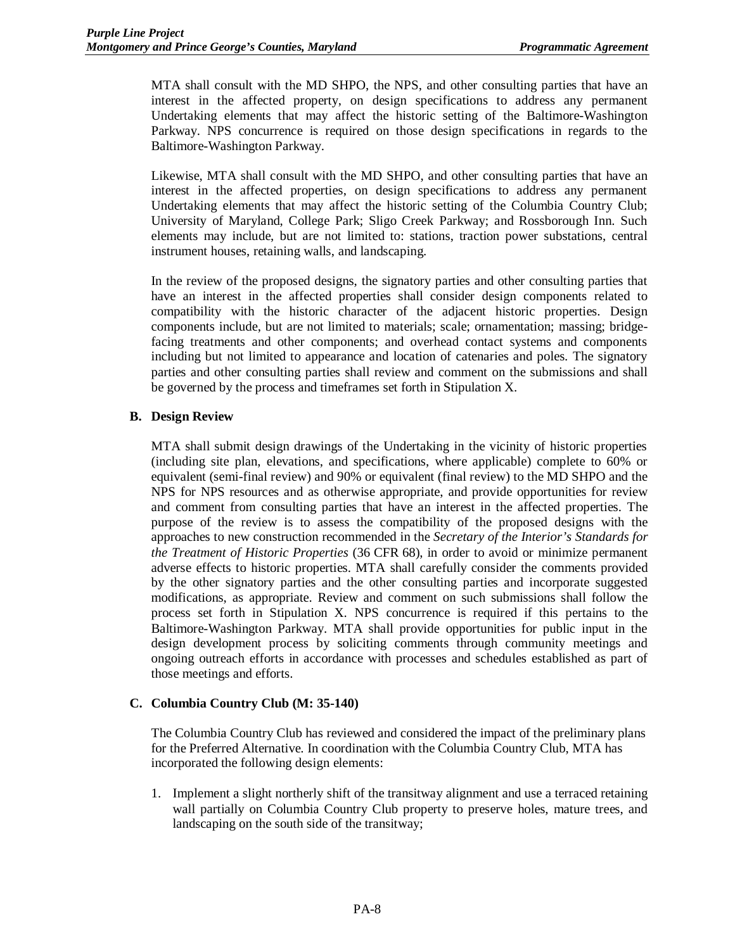MTA shall consult with the MD SHPO, the NPS, and other consulting parties that have an interest in the affected property, on design specifications to address any permanent Undertaking elements that may affect the historic setting of the Baltimore-Washington Parkway. NPS concurrence is required on those design specifications in regards to the Baltimore-Washington Parkway.

Likewise, MTA shall consult with the MD SHPO, and other consulting parties that have an interest in the affected properties, on design specifications to address any permanent Undertaking elements that may affect the historic setting of the Columbia Country Club; University of Maryland, College Park; Sligo Creek Parkway; and Rossborough Inn. Such elements may include, but are not limited to: stations, traction power substations, central instrument houses, retaining walls, and landscaping.

In the review of the proposed designs, the signatory parties and other consulting parties that have an interest in the affected properties shall consider design components related to compatibility with the historic character of the adjacent historic properties. Design components include, but are not limited to materials; scale; ornamentation; massing; bridgefacing treatments and other components; and overhead contact systems and components including but not limited to appearance and location of catenaries and poles. The signatory parties and other consulting parties shall review and comment on the submissions and shall be governed by the process and timeframes set forth in Stipulation X.

## **B. Design Review**

MTA shall submit design drawings of the Undertaking in the vicinity of historic properties (including site plan, elevations, and specifications, where applicable) complete to 60% or equivalent (semi-final review) and 90% or equivalent (final review) to the MD SHPO and the NPS for NPS resources and as otherwise appropriate, and provide opportunities for review and comment from consulting parties that have an interest in the affected properties. The purpose of the review is to assess the compatibility of the proposed designs with the approaches to new construction recommended in the *Secretary of the Interior's Standards for the Treatment of Historic Properties* (36 CFR 68), in order to avoid or minimize permanent adverse effects to historic properties. MTA shall carefully consider the comments provided by the other signatory parties and the other consulting parties and incorporate suggested modifications, as appropriate. Review and comment on such submissions shall follow the process set forth in Stipulation X. NPS concurrence is required if this pertains to the Baltimore-Washington Parkway. MTA shall provide opportunities for public input in the design development process by soliciting comments through community meetings and ongoing outreach efforts in accordance with processes and schedules established as part of those meetings and efforts.

# **C. Columbia Country Club (M: 35-140)**

The Columbia Country Club has reviewed and considered the impact of the preliminary plans for the Preferred Alternative. In coordination with the Columbia Country Club, MTA has incorporated the following design elements:

1. Implement a slight northerly shift of the transitway alignment and use a terraced retaining wall partially on Columbia Country Club property to preserve holes, mature trees, and landscaping on the south side of the transitway;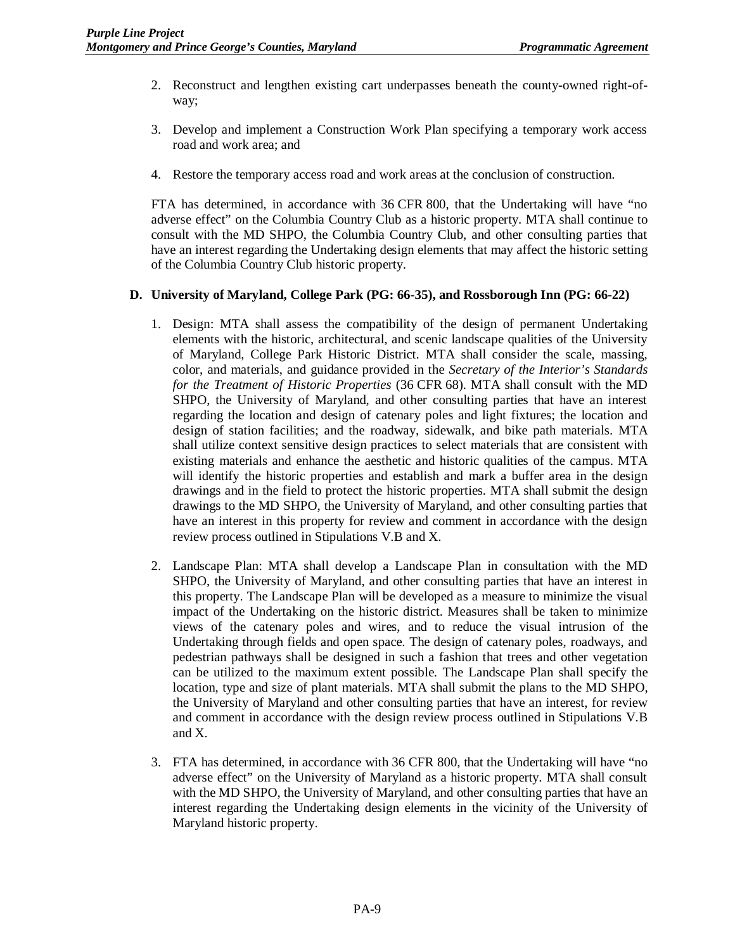- 2. Reconstruct and lengthen existing cart underpasses beneath the county-owned right-ofway;
- 3. Develop and implement a Construction Work Plan specifying a temporary work access road and work area; and
- 4. Restore the temporary access road and work areas at the conclusion of construction.

FTA has determined, in accordance with 36 CFR 800, that the Undertaking will have "no adverse effect" on the Columbia Country Club as a historic property. MTA shall continue to consult with the MD SHPO, the Columbia Country Club, and other consulting parties that have an interest regarding the Undertaking design elements that may affect the historic setting of the Columbia Country Club historic property.

# **D. University of Maryland, College Park (PG: 66-35), and Rossborough Inn (PG: 66-22)**

- 1. Design: MTA shall assess the compatibility of the design of permanent Undertaking elements with the historic, architectural, and scenic landscape qualities of the University of Maryland, College Park Historic District. MTA shall consider the scale, massing, color, and materials, and guidance provided in the *Secretary of the Interior's Standards for the Treatment of Historic Properties* (36 CFR 68). MTA shall consult with the MD SHPO, the University of Maryland, and other consulting parties that have an interest regarding the location and design of catenary poles and light fixtures; the location and design of station facilities; and the roadway, sidewalk, and bike path materials. MTA shall utilize context sensitive design practices to select materials that are consistent with existing materials and enhance the aesthetic and historic qualities of the campus. MTA will identify the historic properties and establish and mark a buffer area in the design drawings and in the field to protect the historic properties. MTA shall submit the design drawings to the MD SHPO, the University of Maryland, and other consulting parties that have an interest in this property for review and comment in accordance with the design review process outlined in Stipulations V.B and X.
- 2. Landscape Plan: MTA shall develop a Landscape Plan in consultation with the MD SHPO, the University of Maryland, and other consulting parties that have an interest in this property. The Landscape Plan will be developed as a measure to minimize the visual impact of the Undertaking on the historic district. Measures shall be taken to minimize views of the catenary poles and wires, and to reduce the visual intrusion of the Undertaking through fields and open space. The design of catenary poles, roadways, and pedestrian pathways shall be designed in such a fashion that trees and other vegetation can be utilized to the maximum extent possible. The Landscape Plan shall specify the location, type and size of plant materials. MTA shall submit the plans to the MD SHPO, the University of Maryland and other consulting parties that have an interest, for review and comment in accordance with the design review process outlined in Stipulations V.B and X.
- 3. FTA has determined, in accordance with 36 CFR 800, that the Undertaking will have "no adverse effect" on the University of Maryland as a historic property. MTA shall consult with the MD SHPO, the University of Maryland, and other consulting parties that have an interest regarding the Undertaking design elements in the vicinity of the University of Maryland historic property.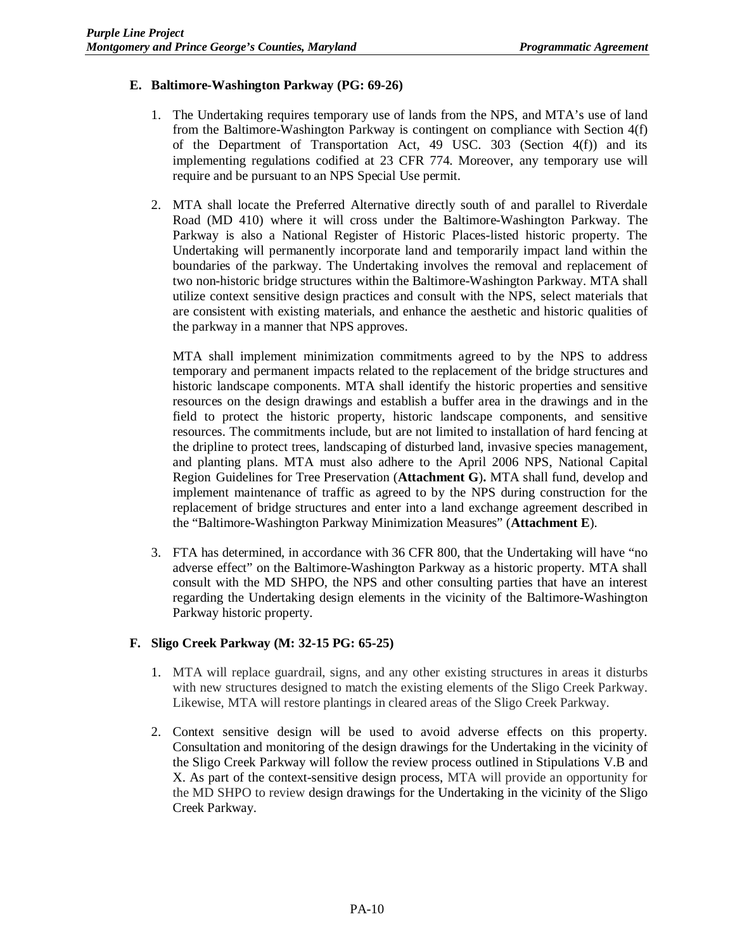# **E. Baltimore-Washington Parkway (PG: 69-26)**

- 1. The Undertaking requires temporary use of lands from the NPS, and MTA's use of land from the Baltimore-Washington Parkway is contingent on compliance with Section 4(f) of the Department of Transportation Act, 49 USC. 303 (Section 4(f)) and its implementing regulations codified at 23 CFR 774. Moreover, any temporary use will require and be pursuant to an NPS Special Use permit.
- 2. MTA shall locate the Preferred Alternative directly south of and parallel to Riverdale Road (MD 410) where it will cross under the Baltimore-Washington Parkway. The Parkway is also a National Register of Historic Places-listed historic property. The Undertaking will permanently incorporate land and temporarily impact land within the boundaries of the parkway. The Undertaking involves the removal and replacement of two non-historic bridge structures within the Baltimore-Washington Parkway. MTA shall utilize context sensitive design practices and consult with the NPS, select materials that are consistent with existing materials, and enhance the aesthetic and historic qualities of the parkway in a manner that NPS approves.

MTA shall implement minimization commitments agreed to by the NPS to address temporary and permanent impacts related to the replacement of the bridge structures and historic landscape components. MTA shall identify the historic properties and sensitive resources on the design drawings and establish a buffer area in the drawings and in the field to protect the historic property, historic landscape components, and sensitive resources. The commitments include, but are not limited to installation of hard fencing at the dripline to protect trees, landscaping of disturbed land, invasive species management, and planting plans. MTA must also adhere to the April 2006 NPS, National Capital Region Guidelines for Tree Preservation (**Attachment G**)**.** MTA shall fund, develop and implement maintenance of traffic as agreed to by the NPS during construction for the replacement of bridge structures and enter into a land exchange agreement described in the "Baltimore-Washington Parkway Minimization Measures" (**Attachment E**).

3. FTA has determined, in accordance with 36 CFR 800, that the Undertaking will have "no adverse effect" on the Baltimore-Washington Parkway as a historic property. MTA shall consult with the MD SHPO, the NPS and other consulting parties that have an interest regarding the Undertaking design elements in the vicinity of the Baltimore-Washington Parkway historic property.

### **F. Sligo Creek Parkway (M: 32-15 PG: 65-25)**

- 1. MTA will replace guardrail, signs, and any other existing structures in areas it disturbs with new structures designed to match the existing elements of the Sligo Creek Parkway. Likewise, MTA will restore plantings in cleared areas of the Sligo Creek Parkway.
- 2. Context sensitive design will be used to avoid adverse effects on this property. Consultation and monitoring of the design drawings for the Undertaking in the vicinity of the Sligo Creek Parkway will follow the review process outlined in Stipulations V.B and X. As part of the context-sensitive design process, MTA will provide an opportunity for the MD SHPO to review design drawings for the Undertaking in the vicinity of the Sligo Creek Parkway.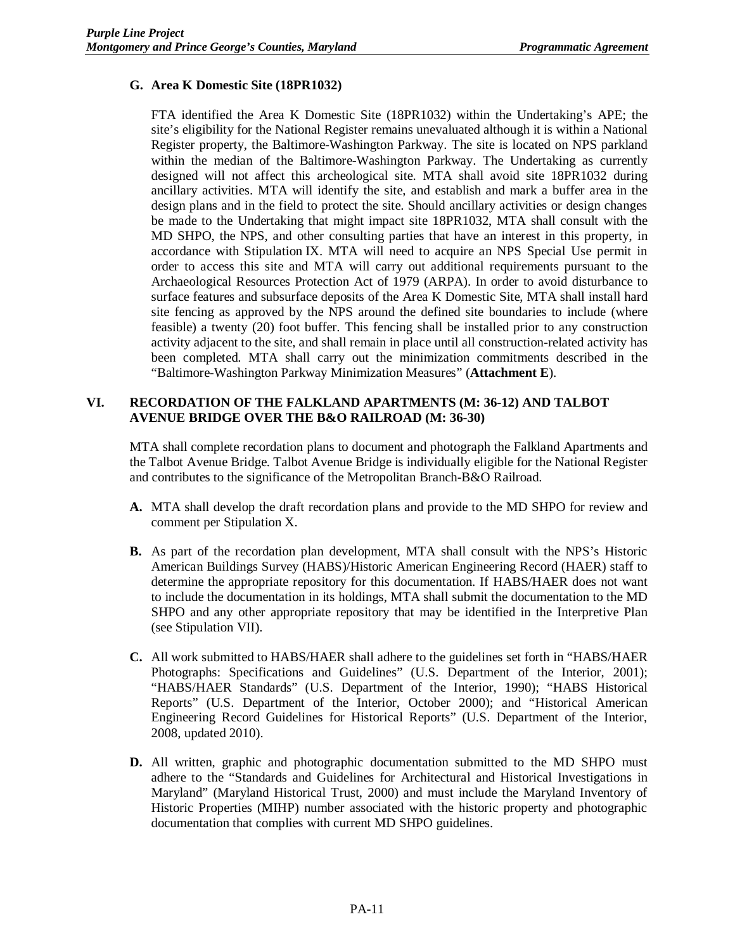# **G. Area K Domestic Site (18PR1032)**

FTA identified the Area K Domestic Site (18PR1032) within the Undertaking's APE; the site's eligibility for the National Register remains unevaluated although it is within a National Register property, the Baltimore-Washington Parkway. The site is located on NPS parkland within the median of the Baltimore-Washington Parkway. The Undertaking as currently designed will not affect this archeological site. MTA shall avoid site 18PR1032 during ancillary activities. MTA will identify the site, and establish and mark a buffer area in the design plans and in the field to protect the site. Should ancillary activities or design changes be made to the Undertaking that might impact site 18PR1032, MTA shall consult with the MD SHPO, the NPS, and other consulting parties that have an interest in this property, in accordance with Stipulation IX. MTA will need to acquire an NPS Special Use permit in order to access this site and MTA will carry out additional requirements pursuant to the Archaeological Resources Protection Act of 1979 (ARPA). In order to avoid disturbance to surface features and subsurface deposits of the Area K Domestic Site, MTA shall install hard site fencing as approved by the NPS around the defined site boundaries to include (where feasible) a twenty (20) foot buffer. This fencing shall be installed prior to any construction activity adjacent to the site, and shall remain in place until all construction-related activity has been completed. MTA shall carry out the minimization commitments described in the "Baltimore-Washington Parkway Minimization Measures" (**Attachment E**).

# **VI. RECORDATION OF THE FALKLAND APARTMENTS (M: 36-12) AND TALBOT AVENUE BRIDGE OVER THE B&O RAILROAD (M: 36-30)**

MTA shall complete recordation plans to document and photograph the Falkland Apartments and the Talbot Avenue Bridge. Talbot Avenue Bridge is individually eligible for the National Register and contributes to the significance of the Metropolitan Branch-B&O Railroad.

- **A.** MTA shall develop the draft recordation plans and provide to the MD SHPO for review and comment per Stipulation X.
- **B.** As part of the recordation plan development, MTA shall consult with the NPS's Historic American Buildings Survey (HABS)/Historic American Engineering Record (HAER) staff to determine the appropriate repository for this documentation. If HABS/HAER does not want to include the documentation in its holdings, MTA shall submit the documentation to the MD SHPO and any other appropriate repository that may be identified in the Interpretive Plan (see Stipulation VII).
- **C.** All work submitted to HABS/HAER shall adhere to the guidelines set forth in "HABS/HAER Photographs: Specifications and Guidelines" (U.S. Department of the Interior, 2001); "HABS/HAER Standards" (U.S. Department of the Interior, 1990); "HABS Historical Reports" (U.S. Department of the Interior, October 2000); and "Historical American Engineering Record Guidelines for Historical Reports" (U.S. Department of the Interior, 2008, updated 2010).
- **D.** All written, graphic and photographic documentation submitted to the MD SHPO must adhere to the "Standards and Guidelines for Architectural and Historical Investigations in Maryland" (Maryland Historical Trust, 2000) and must include the Maryland Inventory of Historic Properties (MIHP) number associated with the historic property and photographic documentation that complies with current MD SHPO guidelines.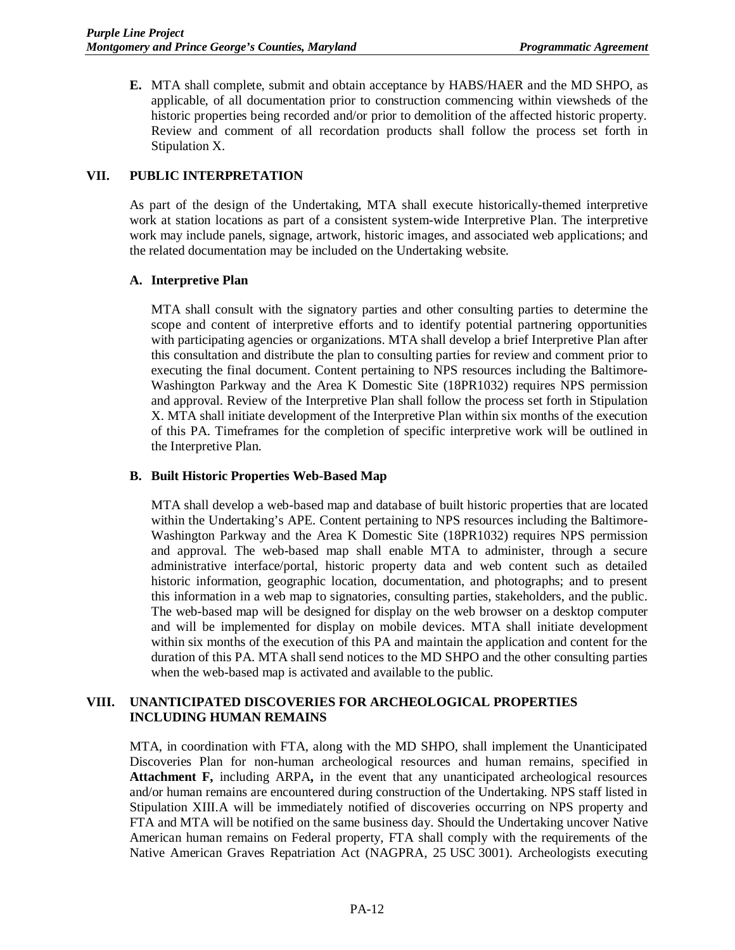**E.** MTA shall complete, submit and obtain acceptance by HABS/HAER and the MD SHPO, as applicable, of all documentation prior to construction commencing within viewsheds of the historic properties being recorded and/or prior to demolition of the affected historic property. Review and comment of all recordation products shall follow the process set forth in Stipulation X.

## **VII. PUBLIC INTERPRETATION**

As part of the design of the Undertaking, MTA shall execute historically-themed interpretive work at station locations as part of a consistent system-wide Interpretive Plan. The interpretive work may include panels, signage, artwork, historic images, and associated web applications; and the related documentation may be included on the Undertaking website.

### **A. Interpretive Plan**

MTA shall consult with the signatory parties and other consulting parties to determine the scope and content of interpretive efforts and to identify potential partnering opportunities with participating agencies or organizations. MTA shall develop a brief Interpretive Plan after this consultation and distribute the plan to consulting parties for review and comment prior to executing the final document. Content pertaining to NPS resources including the Baltimore-Washington Parkway and the Area K Domestic Site (18PR1032) requires NPS permission and approval. Review of the Interpretive Plan shall follow the process set forth in Stipulation X. MTA shall initiate development of the Interpretive Plan within six months of the execution of this PA. Timeframes for the completion of specific interpretive work will be outlined in the Interpretive Plan.

### **B. Built Historic Properties Web-Based Map**

MTA shall develop a web-based map and database of built historic properties that are located within the Undertaking's APE. Content pertaining to NPS resources including the Baltimore-Washington Parkway and the Area K Domestic Site (18PR1032) requires NPS permission and approval. The web-based map shall enable MTA to administer, through a secure administrative interface/portal, historic property data and web content such as detailed historic information, geographic location, documentation, and photographs; and to present this information in a web map to signatories, consulting parties, stakeholders, and the public. The web-based map will be designed for display on the web browser on a desktop computer and will be implemented for display on mobile devices. MTA shall initiate development within six months of the execution of this PA and maintain the application and content for the duration of this PA. MTA shall send notices to the MD SHPO and the other consulting parties when the web-based map is activated and available to the public.

### **VIII. UNANTICIPATED DISCOVERIES FOR ARCHEOLOGICAL PROPERTIES INCLUDING HUMAN REMAINS**

MTA, in coordination with FTA, along with the MD SHPO, shall implement the Unanticipated Discoveries Plan for non-human archeological resources and human remains, specified in **Attachment F,** including ARPA**,** in the event that any unanticipated archeological resources and/or human remains are encountered during construction of the Undertaking. NPS staff listed in Stipulation XIII.A will be immediately notified of discoveries occurring on NPS property and FTA and MTA will be notified on the same business day. Should the Undertaking uncover Native American human remains on Federal property, FTA shall comply with the requirements of the Native American Graves Repatriation Act (NAGPRA, 25 USC 3001). Archeologists executing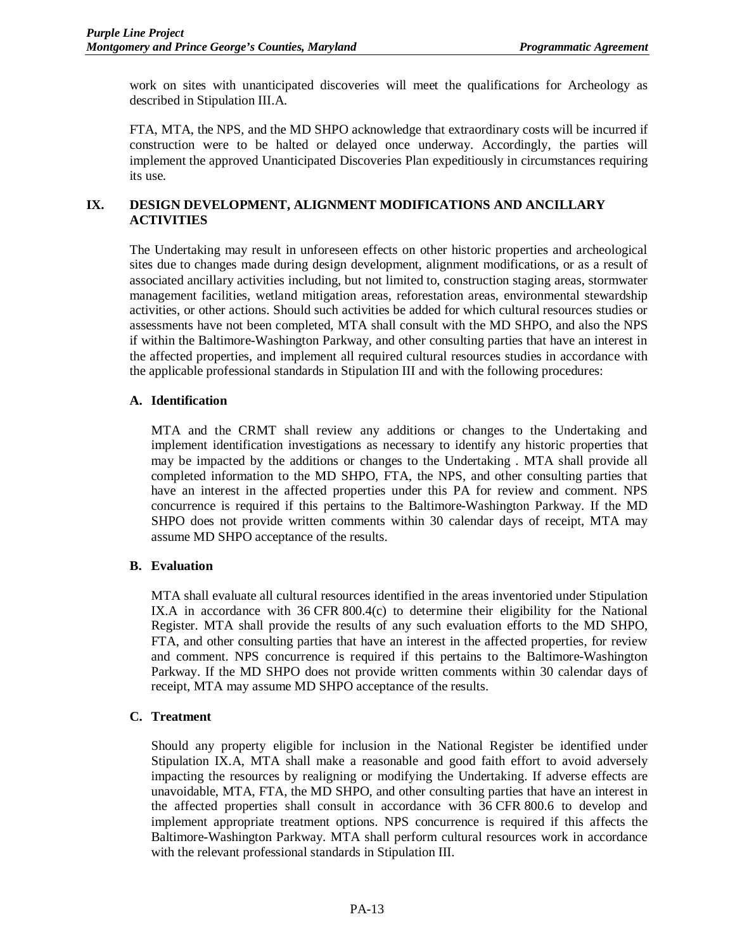work on sites with unanticipated discoveries will meet the qualifications for Archeology as described in Stipulation III.A.

FTA, MTA, the NPS, and the MD SHPO acknowledge that extraordinary costs will be incurred if construction were to be halted or delayed once underway. Accordingly, the parties will implement the approved Unanticipated Discoveries Plan expeditiously in circumstances requiring its use.

# **IX. DESIGN DEVELOPMENT, ALIGNMENT MODIFICATIONS AND ANCILLARY ACTIVITIES**

The Undertaking may result in unforeseen effects on other historic properties and archeological sites due to changes made during design development, alignment modifications, or as a result of associated ancillary activities including, but not limited to, construction staging areas, stormwater management facilities, wetland mitigation areas, reforestation areas, environmental stewardship activities, or other actions. Should such activities be added for which cultural resources studies or assessments have not been completed, MTA shall consult with the MD SHPO, and also the NPS if within the Baltimore-Washington Parkway, and other consulting parties that have an interest in the affected properties, and implement all required cultural resources studies in accordance with the applicable professional standards in Stipulation III and with the following procedures:

## **A. Identification**

MTA and the CRMT shall review any additions or changes to the Undertaking and implement identification investigations as necessary to identify any historic properties that may be impacted by the additions or changes to the Undertaking . MTA shall provide all completed information to the MD SHPO, FTA, the NPS, and other consulting parties that have an interest in the affected properties under this PA for review and comment. NPS concurrence is required if this pertains to the Baltimore-Washington Parkway. If the MD SHPO does not provide written comments within 30 calendar days of receipt, MTA may assume MD SHPO acceptance of the results.

# **B. Evaluation**

MTA shall evaluate all cultural resources identified in the areas inventoried under Stipulation IX.A in accordance with 36 CFR 800.4(c) to determine their eligibility for the National Register. MTA shall provide the results of any such evaluation efforts to the MD SHPO, FTA, and other consulting parties that have an interest in the affected properties, for review and comment. NPS concurrence is required if this pertains to the Baltimore-Washington Parkway. If the MD SHPO does not provide written comments within 30 calendar days of receipt, MTA may assume MD SHPO acceptance of the results.

# **C. Treatment**

Should any property eligible for inclusion in the National Register be identified under Stipulation IX.A, MTA shall make a reasonable and good faith effort to avoid adversely impacting the resources by realigning or modifying the Undertaking. If adverse effects are unavoidable, MTA, FTA, the MD SHPO, and other consulting parties that have an interest in the affected properties shall consult in accordance with 36 CFR 800.6 to develop and implement appropriate treatment options. NPS concurrence is required if this affects the Baltimore-Washington Parkway. MTA shall perform cultural resources work in accordance with the relevant professional standards in Stipulation III.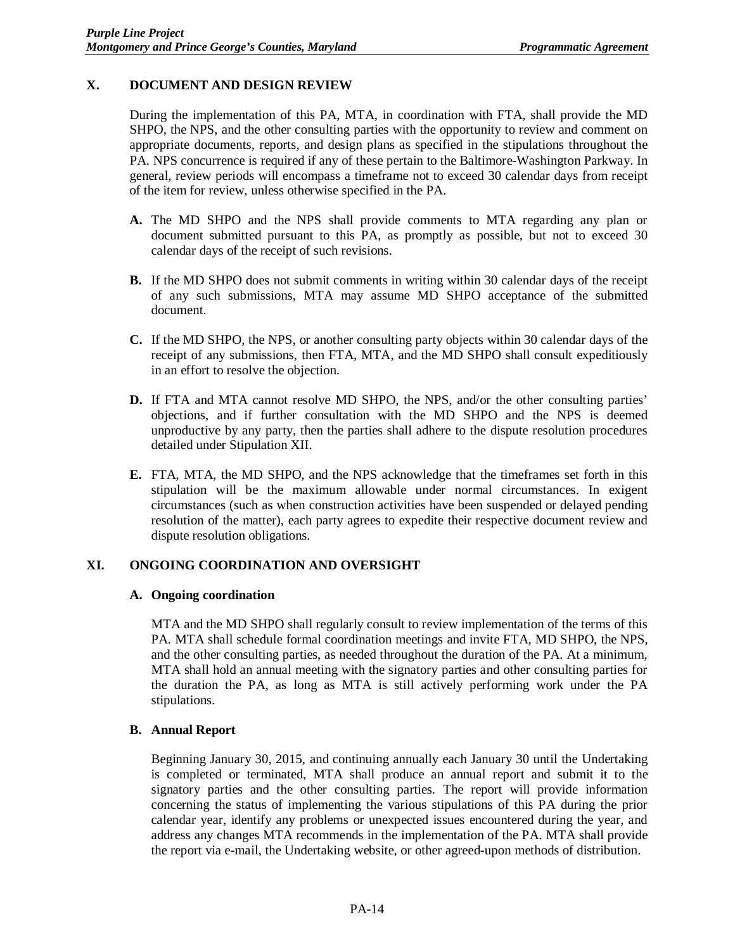# **X. DOCUMENT AND DESIGN REVIEW**

During the implementation of this PA, MTA, in coordination with FTA, shall provide the MD SHPO, the NPS, and the other consulting parties with the opportunity to review and comment on appropriate documents, reports, and design plans as specified in the stipulations throughout the PA. NPS concurrence is required if any of these pertain to the Baltimore-Washington Parkway. In general, review periods will encompass a timeframe not to exceed 30 calendar days from receipt of the item for review, unless otherwise specified in the PA.

- **A.** The MD SHPO and the NPS shall provide comments to MTA regarding any plan or document submitted pursuant to this PA, as promptly as possible, but not to exceed 30 calendar days of the receipt of such revisions.
- **B.** If the MD SHPO does not submit comments in writing within 30 calendar days of the receipt of any such submissions, MTA may assume MD SHPO acceptance of the submitted document.
- **C.** If the MD SHPO, the NPS, or another consulting party objects within 30 calendar days of the receipt of any submissions, then FTA, MTA, and the MD SHPO shall consult expeditiously in an effort to resolve the objection.
- **D.** If FTA and MTA cannot resolve MD SHPO, the NPS, and/or the other consulting parties' objections, and if further consultation with the MD SHPO and the NPS is deemed unproductive by any party, then the parties shall adhere to the dispute resolution procedures detailed under Stipulation XII.
- **E.** FTA, MTA, the MD SHPO, and the NPS acknowledge that the timeframes set forth in this stipulation will be the maximum allowable under normal circumstances. In exigent circumstances (such as when construction activities have been suspended or delayed pending resolution of the matter), each party agrees to expedite their respective document review and dispute resolution obligations.

### **XI. ONGOING COORDINATION AND OVERSIGHT**

### **A. Ongoing coordination**

MTA and the MD SHPO shall regularly consult to review implementation of the terms of this PA. MTA shall schedule formal coordination meetings and invite FTA, MD SHPO, the NPS, and the other consulting parties, as needed throughout the duration of the PA. At a minimum, MTA shall hold an annual meeting with the signatory parties and other consulting parties for the duration the PA, as long as MTA is still actively performing work under the PA stipulations.

### **B. Annual Report**

Beginning January 30, 2015, and continuing annually each January 30 until the Undertaking is completed or terminated, MTA shall produce an annual report and submit it to the signatory parties and the other consulting parties. The report will provide information concerning the status of implementing the various stipulations of this PA during the prior calendar year, identify any problems or unexpected issues encountered during the year, and address any changes MTA recommends in the implementation of the PA. MTA shall provide the report via e-mail, the Undertaking website, or other agreed-upon methods of distribution.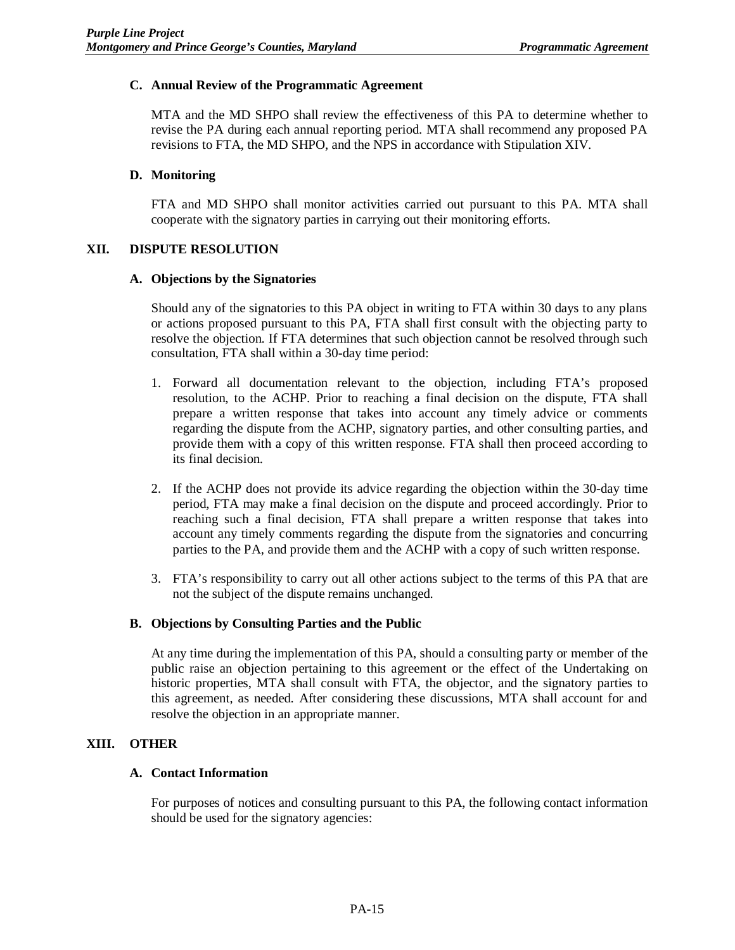## **C. Annual Review of the Programmatic Agreement**

MTA and the MD SHPO shall review the effectiveness of this PA to determine whether to revise the PA during each annual reporting period. MTA shall recommend any proposed PA revisions to FTA, the MD SHPO, and the NPS in accordance with Stipulation XIV.

## **D. Monitoring**

FTA and MD SHPO shall monitor activities carried out pursuant to this PA. MTA shall cooperate with the signatory parties in carrying out their monitoring efforts.

## **XII. DISPUTE RESOLUTION**

### **A. Objections by the Signatories**

Should any of the signatories to this PA object in writing to FTA within 30 days to any plans or actions proposed pursuant to this PA, FTA shall first consult with the objecting party to resolve the objection. If FTA determines that such objection cannot be resolved through such consultation, FTA shall within a 30-day time period:

- 1. Forward all documentation relevant to the objection, including FTA's proposed resolution, to the ACHP. Prior to reaching a final decision on the dispute, FTA shall prepare a written response that takes into account any timely advice or comments regarding the dispute from the ACHP, signatory parties, and other consulting parties, and provide them with a copy of this written response. FTA shall then proceed according to its final decision.
- 2. If the ACHP does not provide its advice regarding the objection within the 30-day time period, FTA may make a final decision on the dispute and proceed accordingly. Prior to reaching such a final decision, FTA shall prepare a written response that takes into account any timely comments regarding the dispute from the signatories and concurring parties to the PA, and provide them and the ACHP with a copy of such written response.
- 3. FTA's responsibility to carry out all other actions subject to the terms of this PA that are not the subject of the dispute remains unchanged.

### **B. Objections by Consulting Parties and the Public**

At any time during the implementation of this PA, should a consulting party or member of the public raise an objection pertaining to this agreement or the effect of the Undertaking on historic properties, MTA shall consult with FTA, the objector, and the signatory parties to this agreement, as needed. After considering these discussions, MTA shall account for and resolve the objection in an appropriate manner.

### **XIII. OTHER**

### **A. Contact Information**

For purposes of notices and consulting pursuant to this PA, the following contact information should be used for the signatory agencies: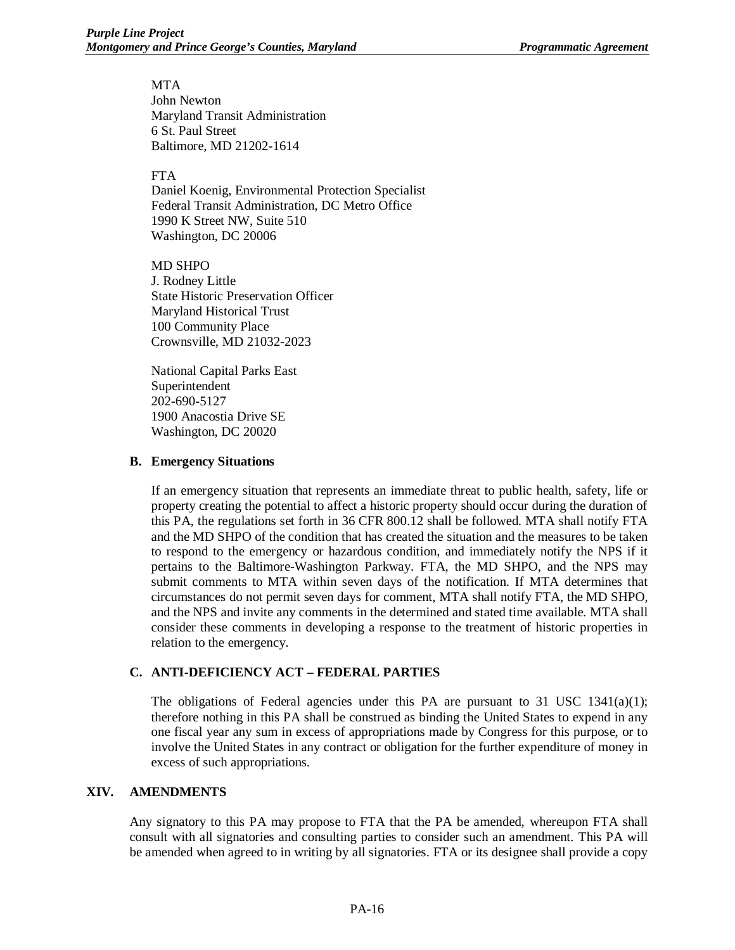MTA John Newton Maryland Transit Administration 6 St. Paul Street Baltimore, MD 21202-1614

#### FTA

Daniel Koenig, Environmental Protection Specialist Federal Transit Administration, DC Metro Office 1990 K Street NW, Suite 510 Washington, DC 20006

MD SHPO J. Rodney Little State Historic Preservation Officer Maryland Historical Trust 100 Community Place Crownsville, MD 21032-2023

National Capital Parks East Superintendent 202-690-5127 1900 Anacostia Drive SE Washington, DC 20020

#### **B. Emergency Situations**

If an emergency situation that represents an immediate threat to public health, safety, life or property creating the potential to affect a historic property should occur during the duration of this PA, the regulations set forth in 36 CFR 800.12 shall be followed. MTA shall notify FTA and the MD SHPO of the condition that has created the situation and the measures to be taken to respond to the emergency or hazardous condition, and immediately notify the NPS if it pertains to the Baltimore-Washington Parkway. FTA, the MD SHPO, and the NPS may submit comments to MTA within seven days of the notification. If MTA determines that circumstances do not permit seven days for comment, MTA shall notify FTA, the MD SHPO, and the NPS and invite any comments in the determined and stated time available. MTA shall consider these comments in developing a response to the treatment of historic properties in relation to the emergency.

### **C. ANTI-DEFICIENCY ACT – FEDERAL PARTIES**

The obligations of Federal agencies under this PA are pursuant to 31 USC 1341(a)(1); therefore nothing in this PA shall be construed as binding the United States to expend in any one fiscal year any sum in excess of appropriations made by Congress for this purpose, or to involve the United States in any contract or obligation for the further expenditure of money in excess of such appropriations.

#### **XIV. AMENDMENTS**

Any signatory to this PA may propose to FTA that the PA be amended, whereupon FTA shall consult with all signatories and consulting parties to consider such an amendment. This PA will be amended when agreed to in writing by all signatories. FTA or its designee shall provide a copy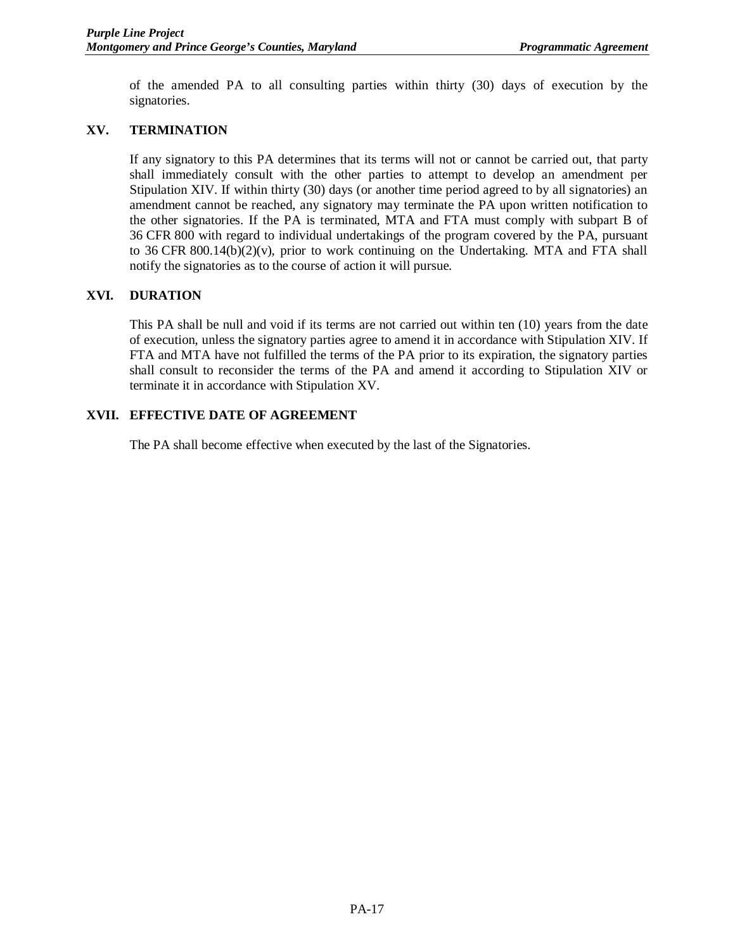of the amended PA to all consulting parties within thirty (30) days of execution by the signatories.

## **XV. TERMINATION**

If any signatory to this PA determines that its terms will not or cannot be carried out, that party shall immediately consult with the other parties to attempt to develop an amendment per Stipulation XIV. If within thirty (30) days (or another time period agreed to by all signatories) an amendment cannot be reached, any signatory may terminate the PA upon written notification to the other signatories. If the PA is terminated, MTA and FTA must comply with subpart B of 36 CFR 800 with regard to individual undertakings of the program covered by the PA, pursuant to 36 CFR 800.14(b)(2)(v), prior to work continuing on the Undertaking. MTA and FTA shall notify the signatories as to the course of action it will pursue.

## **XVI. DURATION**

This PA shall be null and void if its terms are not carried out within ten (10) years from the date of execution, unless the signatory parties agree to amend it in accordance with Stipulation XIV. If FTA and MTA have not fulfilled the terms of the PA prior to its expiration, the signatory parties shall consult to reconsider the terms of the PA and amend it according to Stipulation XIV or terminate it in accordance with Stipulation XV.

## **XVII. EFFECTIVE DATE OF AGREEMENT**

The PA shall become effective when executed by the last of the Signatories.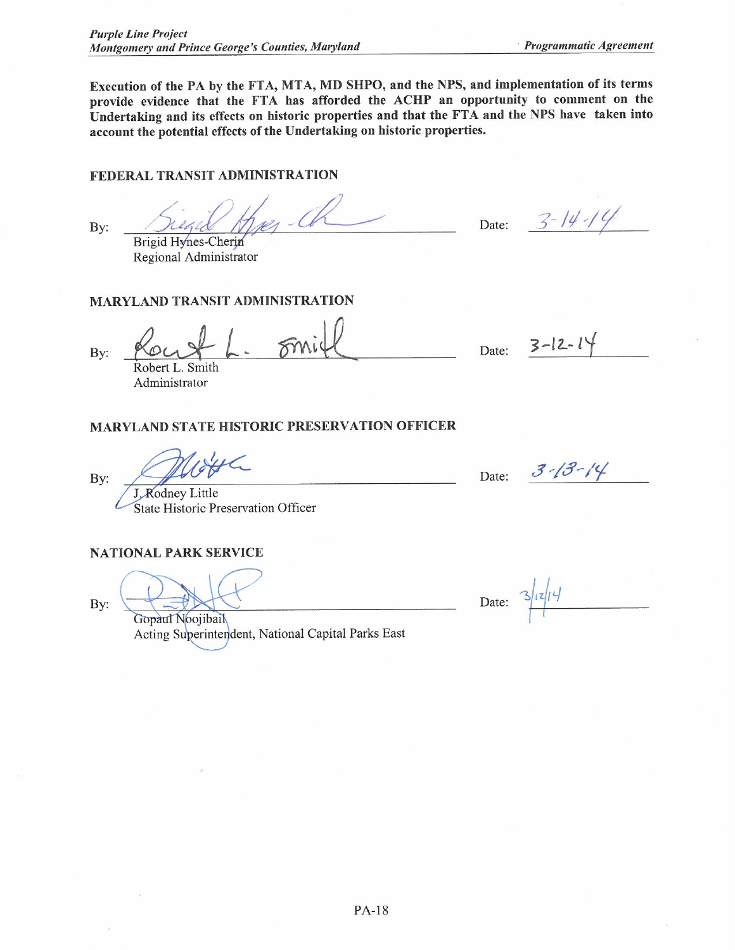Execution of the PA by the FTA, MTA, MD SHPO, and the NPS, and implementation of its terms provide evidence that the FTA has afforded the ACHP an opportunity to comment on the Undertaking and its effects on historic properties and that the FTA and the NPS have taken into account the potential effects of the Undertaking on historic properties.

# FEDERAL TRANSIT ADMINISTRATION

By:

Brigid Hynes-Cherin

Regional Administrator

## **MARYLAND TRANSIT ADMINISTRATION**

By:

Robert L. Smith

Administrator

### **MARYLAND STATE HISTORIC PRESERVATION OFFICER**

lotthe

J. Rodney Little State Historic Preservation Officer

#### **NATIONAL PARK SERVICE**

By:

By:

Gopaul Noojibail Acting Superintendent, National Capital Parks East

Date:  $3 - 14 - 14$ 

 $3 - 12 - 14$ Date:

Date: 3-13-14

Date: